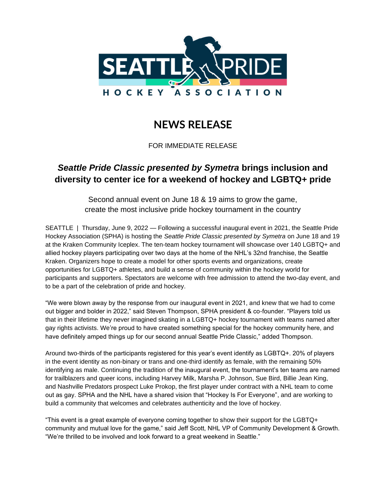

## **NEWS RELEASE**

FOR IMMEDIATE RELEASE

## *Seattle Pride Classic presented by Symetra* **brings inclusion and diversity to center ice for a weekend of hockey and LGBTQ+ pride**

Second annual event on June 18 & 19 aims to grow the game, create the most inclusive pride hockey tournament in the country

SEATTLE | Thursday, June 9, 2022 — Following a successful inaugural event in 2021, the Seattle Pride Hockey Association (SPHA) is hosting the *Seattle Pride Classic presented by Symetra* on June 18 and 19 at the Kraken Community Iceplex. The ten-team hockey tournament will showcase over 140 LGBTQ+ and allied hockey players participating over two days at the home of the NHL's 32nd franchise, the Seattle Kraken. Organizers hope to create a model for other sports events and organizations, create opportunities for LGBTQ+ athletes, and build a sense of community within the hockey world for participants and supporters. Spectators are welcome with free admission to attend the two-day event, and to be a part of the celebration of pride and hockey.

"We were blown away by the response from our inaugural event in 2021, and knew that we had to come out bigger and bolder in 2022," said Steven Thompson, SPHA president & co-founder. "Players told us that in their lifetime they never imagined skating in a LGBTQ+ hockey tournament with teams named after gay rights activists. We're proud to have created something special for the hockey community here, and have definitely amped things up for our second annual Seattle Pride Classic," added Thompson.

Around two-thirds of the participants registered for this year's event identify as LGBTQ+. 20% of players in the event identity as non-binary or trans and one-third identify as female, with the remaining 50% identifying as male. Continuing the tradition of the inaugural event, the tournament's ten teams are named for trailblazers and queer icons, including Harvey Milk, Marsha P. Johnson, Sue Bird, Billie Jean King, and Nashville Predators prospect Luke Prokop, the first player under contract with a NHL team to come out as gay. SPHA and the NHL have a shared vision that "Hockey Is For Everyone", and are working to build a community that welcomes and celebrates authenticity and the love of hockey.

"This event is a great example of everyone coming together to show their support for the LGBTQ+ community and mutual love for the game," said Jeff Scott, NHL VP of Community Development & Growth. "We're thrilled to be involved and look forward to a great weekend in Seattle."